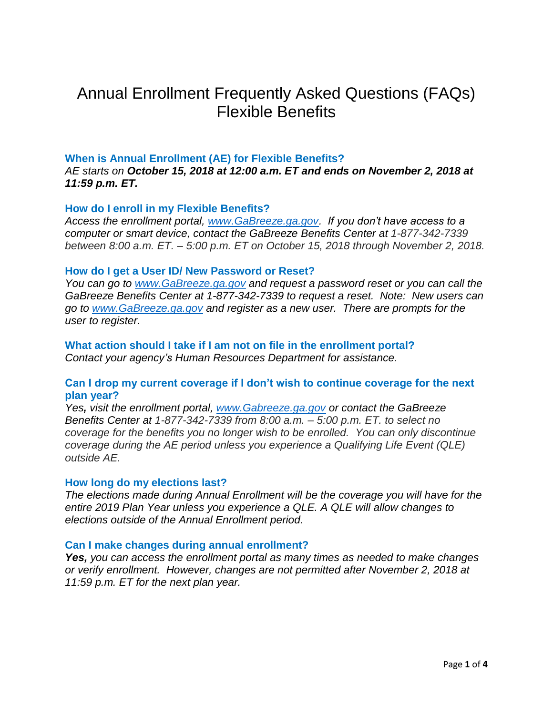# Annual Enrollment Frequently Asked Questions (FAQs) Flexible Benefits

## **When is Annual Enrollment (AE) for Flexible Benefits?**

*AE starts on October 15, 2018 at 12:00 a.m. ET and ends on November 2, 2018 at 11:59 p.m. ET.*

## **How do I enroll in my Flexible Benefits?**

*Access the enrollment portal, [www.GaBreeze.ga.gov.](http://www.gabreeze.ga.gov/) If you don't have access to a computer or smart device, contact the GaBreeze Benefits Center at 1-877-342-7339 between 8:00 a.m. ET. – 5:00 p.m. ET on October 15, 2018 through November 2, 2018.*

## **How do I get a User ID/ New Password or Reset?**

*You can go to [www.GaBreeze.ga.gov](http://www.gabreeze.ga.gov/) and request a password reset or you can call the GaBreeze Benefits Center at 1-877-342-7339 to request a reset. Note: New users can go to [www.GaBreeze.ga.gov](http://www.gabreeze.ga.gov/) and register as a new user. There are prompts for the user to register.* 

**What action should I take if I am not on file in the enrollment portal?**  *Contact your agency's Human Resources Department for assistance.*

# **Can I drop my current coverage if I don't wish to continue coverage for the next plan year?**

*Yes, visit the enrollment portal, [www.Gabreeze.ga.gov](http://www.gabreeze.ga.gov/) or contact the GaBreeze Benefits Center at 1-877-342-7339 from 8:00 a.m. – 5:00 p.m. ET. to select no coverage for the benefits you no longer wish to be enrolled. You can only discontinue coverage during the AE period unless you experience a Qualifying Life Event (QLE) outside AE.*

#### **How long do my elections last?**

*The elections made during Annual Enrollment will be the coverage you will have for the entire 2019 Plan Year unless you experience a QLE. A QLE will allow changes to elections outside of the Annual Enrollment period.*

#### **Can I make changes during annual enrollment?**

*Yes, you can access the enrollment portal as many times as needed to make changes or verify enrollment. However, changes are not permitted after November 2, 2018 at 11:59 p.m. ET for the next plan year.*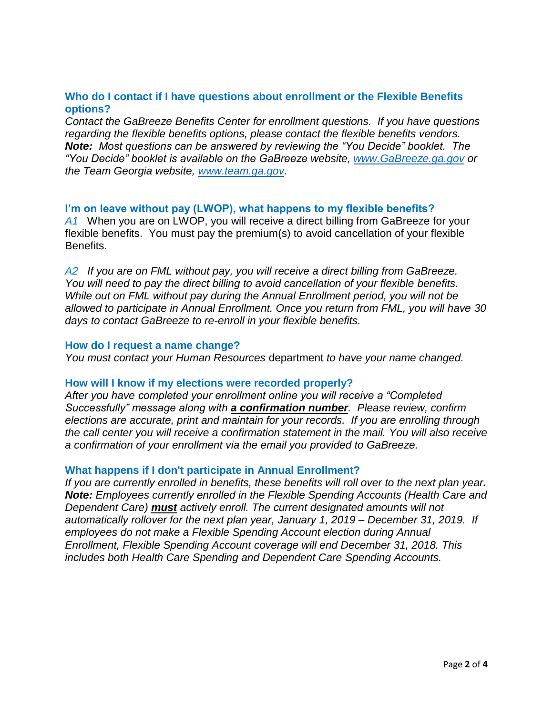# **Who do I contact if I have questions about enrollment or the Flexible Benefits options?**

*Contact the GaBreeze Benefits Center for enrollment questions. If you have questions regarding the flexible benefits options, please contact the flexible benefits vendors. Note: Most questions can be answered by reviewing the "You Decide" booklet. The "You Decide" booklet is available on the GaBreeze website, [www.GaBreeze.ga.gov](http://www.gabreeze.ga.gov/) or the Team Georgia website, [www.team.ga.gov.](http://www.team.ga.gov/)* 

# **I'm on leave without pay (LWOP), what happens to my flexible benefits?**

*A1* When you are on LWOP, you will receive a direct billing from GaBreeze for your flexible benefits. You must pay the premium(s) to avoid cancellation of your flexible Benefits.

*A2 If you are on FML without pay, you will receive a direct billing from GaBreeze. You will need to pay the direct billing to avoid cancellation of your flexible benefits. While out on FML without pay during the Annual Enrollment period, you will not be allowed to participate in Annual Enrollment. Once you return from FML, you will have 30 days to contact GaBreeze to re-enroll in your flexible benefits.*

## **How do I request a name change?**

*You must contact your Human Resources* department *to have your name changed.*

## **How will I know if my elections were recorded properly?**

*After you have completed your enrollment online you will receive a "Completed Successfully" message along with a confirmation number. Please review, confirm elections are accurate, print and maintain for your records. If you are enrolling through the call center you will receive a confirmation statement in the mail. You will also receive a confirmation of your enrollment via the email you provided to GaBreeze.*

## **What happens if I don't participate in Annual Enrollment?**

*If you are currently enrolled in benefits, these benefits will roll over to the next plan year. Note: Employees currently enrolled in the Flexible Spending Accounts (Health Care and Dependent Care) must actively enroll. The current designated amounts will not automatically rollover for the next plan year, January 1, 2019 – December 31, 2019. If employees do not make a Flexible Spending Account election during Annual Enrollment, Flexible Spending Account coverage will end December 31, 2018. This includes both Health Care Spending and Dependent Care Spending Accounts.*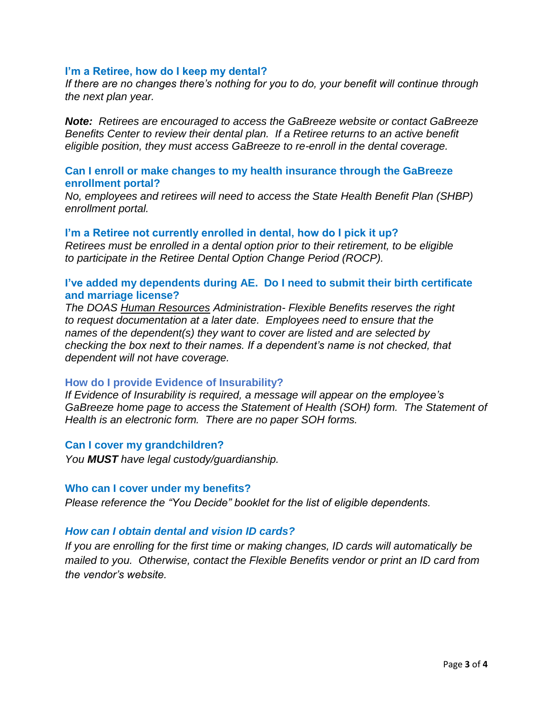## **I'm a Retiree, how do I keep my dental?**

*If there are no changes there's nothing for you to do, your benefit will continue through the next plan year.*

*Note: Retirees are encouraged to access the GaBreeze website or contact GaBreeze Benefits Center to review their dental plan. If a Retiree returns to an active benefit eligible position, they must access GaBreeze to re-enroll in the dental coverage.* 

## **Can I enroll or make changes to my health insurance through the GaBreeze enrollment portal?**

*No, employees and retirees will need to access the State Health Benefit Plan (SHBP) enrollment portal.*

#### **I'm a Retiree not currently enrolled in dental, how do I pick it up?**

*Retirees must be enrolled in a dental option prior to their retirement, to be eligible to participate in the Retiree Dental Option Change Period (ROCP).* 

# **I've added my dependents during AE. Do I need to submit their birth certificate and marriage license?**

*The DOAS Human Resources Administration- Flexible Benefits reserves the right to request documentation at a later date. Employees need to ensure that the names of the dependent(s) they want to cover are listed and are selected by checking the box next to their names. If a dependent's name is not checked, that dependent will not have coverage.* 

#### **How do I provide Evidence of Insurability?**

*If Evidence of Insurability is required, a message will appear on the employee's GaBreeze home page to access the Statement of Health (SOH) form. The Statement of Health is an electronic form. There are no paper SOH forms.*

#### **Can I cover my grandchildren?**

*You MUST have legal custody/guardianship.*

#### **Who can I cover under my benefits?**

*Please reference the "You Decide" booklet for the list of eligible dependents.*

## *How can I obtain dental and vision ID cards?*

*If you are enrolling for the first time or making changes, ID cards will automatically be mailed to you. Otherwise, contact the Flexible Benefits vendor or print an ID card from the vendor's website.*